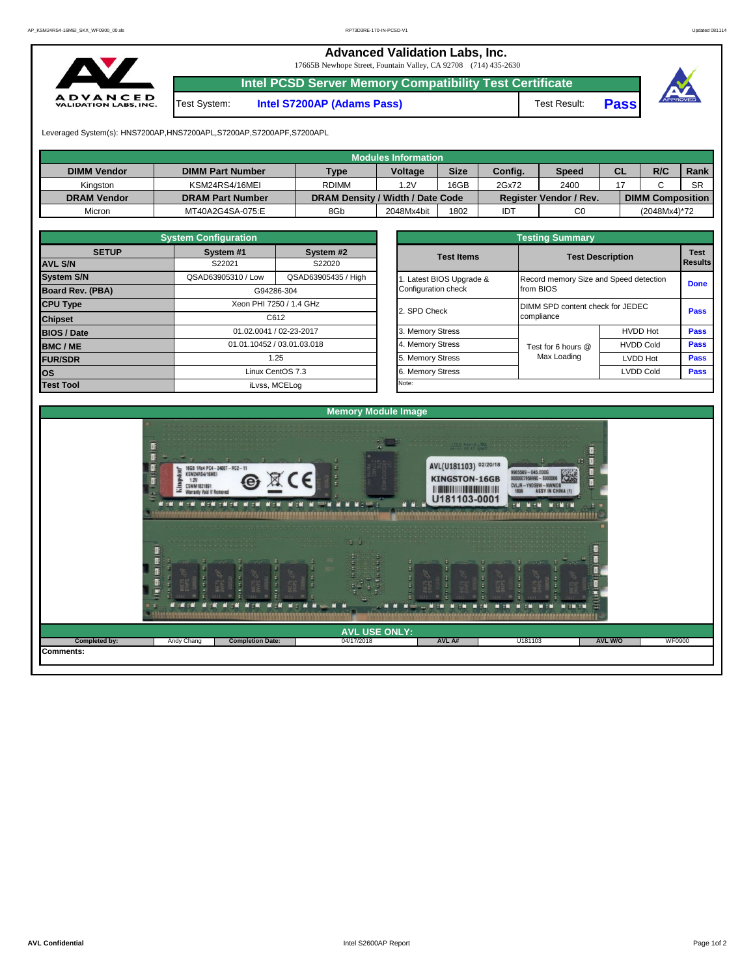**Advanced Validation Labs, Inc.**  17665B Newhope Street, Fountain Valley, CA 92708 (714) 435-2630 **Intel PCSD Server Memory Compatibility Test Certificate A D V A N C E D**<br>VALIDATION LABS, INC. Test System: **Intel S7200AP (Adams Pass)** Test Result: **Pass** Leveraged System(s): HNS7200AP,HNS7200APL,S7200AP,S7200APF,S7200APL

|                    |                         |                                  | <b>Modules Information</b> |             |         |                               |           |                         |           |
|--------------------|-------------------------|----------------------------------|----------------------------|-------------|---------|-------------------------------|-----------|-------------------------|-----------|
| <b>DIMM Vendor</b> | <b>DIMM Part Number</b> | Type                             | <b>Voltage</b>             | <b>Size</b> | Config. | <b>Speed</b>                  | <b>CL</b> | R/C                     | Rank      |
| Kingston           | KSM24RS4/16MEI          | <b>RDIMM</b>                     | .2V                        | 16GB        | 2Gx72   | 2400                          |           |                         | <b>SR</b> |
| <b>DRAM Vendor</b> | <b>DRAM Part Number</b> | DRAM Density / Width / Date Code |                            |             |         | <b>Register Vendor / Rev.</b> |           | <b>DIMM Composition</b> |           |
| Micron             | MT40A2G4SA-075:E        | 8Gb                              | 2048Mx4bit                 | 1802        | IDT     | C <sub>0</sub>                |           | (2048Mx4)*72            |           |

|                                | <b>System Configuration</b> |                            |  | <b>Testing Summary</b> |                                  |                                                   |             |  |  |  |  |  |  |
|--------------------------------|-----------------------------|----------------------------|--|------------------------|----------------------------------|---------------------------------------------------|-------------|--|--|--|--|--|--|
| <b>SETUP</b><br><b>AVL S/N</b> | System #1<br>S22021         | System #2<br>S22020        |  | <b>Test Items</b>      | <b>Test Description</b>          |                                                   |             |  |  |  |  |  |  |
|                                |                             |                            |  |                        |                                  | Results<br>Record memory Size and Speed detection |             |  |  |  |  |  |  |
| <b>System S/N</b>              | QSAD63905310 / Low          | QSAD63905435 / High        |  | Latest BIOS Upgrade &  |                                  |                                                   |             |  |  |  |  |  |  |
| Board Rev. (PBA)               |                             | G94286-304                 |  | Configuration check    | from BIOS                        |                                                   | <b>Done</b> |  |  |  |  |  |  |
| <b>CPU Type</b>                | Xeon PHI 7250 / 1.4 GHz     |                            |  | 2. SPD Check           | DIMM SPD content check for JEDEC |                                                   |             |  |  |  |  |  |  |
| <b>Chipset</b>                 |                             | C612                       |  |                        | compliance                       |                                                   | Pass        |  |  |  |  |  |  |
| <b>BIOS / Date</b>             |                             | 01.02.0041 / 02-23-2017    |  | 3. Memory Stress       |                                  | <b>HVDD Hot</b>                                   | <b>Pass</b> |  |  |  |  |  |  |
| <b>BMC/ME</b>                  |                             | 01.01.10452 / 03.01.03.018 |  | 4. Memory Stress       | Test for 6 hours @               | <b>HVDD Cold</b>                                  | <b>Pass</b> |  |  |  |  |  |  |
| <b>FUR/SDR</b>                 |                             | 1.25                       |  | 5. Memory Stress       | Max Loading                      | <b>LVDD Hot</b>                                   | <b>Pass</b> |  |  |  |  |  |  |
| <b>OS</b>                      |                             | Linux CentOS 7.3           |  | 6. Memory Stress       |                                  | <b>LVDD Cold</b>                                  | <b>Pass</b> |  |  |  |  |  |  |
| <b>Test Tool</b>               |                             | iLvss, MCELog              |  | Note:                  |                                  |                                                   |             |  |  |  |  |  |  |

| <b>Testing Summary</b>                          |                                                     |                                  |             |  |  |  |  |  |  |  |
|-------------------------------------------------|-----------------------------------------------------|----------------------------------|-------------|--|--|--|--|--|--|--|
| <b>Test Items</b>                               |                                                     | <b>Test Description</b>          |             |  |  |  |  |  |  |  |
| 1. Latest BIOS Upgrade &<br>Configuration check | Record memory Size and Speed detection<br>from BIOS |                                  | <b>Done</b> |  |  |  |  |  |  |  |
| 2. SPD Check                                    | compliance                                          | DIMM SPD content check for JEDEC |             |  |  |  |  |  |  |  |
| 3. Memory Stress                                |                                                     | <b>HVDD Hot</b>                  | <b>Pass</b> |  |  |  |  |  |  |  |
| 4. Memory Stress                                | Test for 6 hours @                                  | <b>HVDD Cold</b>                 | <b>Pass</b> |  |  |  |  |  |  |  |
| 5. Memory Stress                                | Max Loading                                         | <b>LVDD Hot</b>                  | <b>Pass</b> |  |  |  |  |  |  |  |
| 6. Memory Stress                                |                                                     | <b>LVDD Cold</b>                 | Pass        |  |  |  |  |  |  |  |
| Note:                                           |                                                     |                                  |             |  |  |  |  |  |  |  |